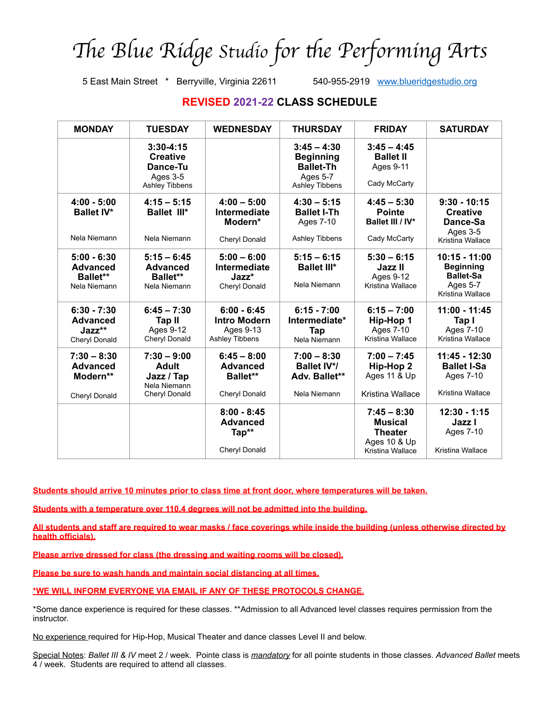## Th*e Blue Ridge Studio for* th*e Performing Arts*

5 East Main Street \* Berryville, Virginia 22611 540-955-2919 [www.blueridgestudio.org](http://www.blueridgestudio.org)

## **REVISED 2021-22 CLASS SCHEDULE**

| <b>TUESDAY</b>                                                                  | <b>WEDNESDAY</b>                                                           | <b>THURSDAY</b>                                                                            | <b>FRIDAY</b>                                                                         | <b>SATURDAY</b>                                                                              |
|---------------------------------------------------------------------------------|----------------------------------------------------------------------------|--------------------------------------------------------------------------------------------|---------------------------------------------------------------------------------------|----------------------------------------------------------------------------------------------|
| $3:30-4:15$<br><b>Creative</b><br>Dance-Tu<br>Ages 3-5<br><b>Ashley Tibbens</b> |                                                                            | $3:45 - 4:30$<br><b>Beginning</b><br><b>Ballet-Th</b><br>Ages 5-7<br><b>Ashley Tibbens</b> | $3:45 - 4:45$<br><b>Ballet II</b><br>Ages 9-11<br>Cady McCarty                        |                                                                                              |
| $4:15 - 5:15$<br><b>Ballet III*</b><br>Nela Niemann                             | $4:00 - 5:00$<br>Intermediate<br>Modern*<br>Cheryl Donald                  | $4:30 - 5:15$<br><b>Ballet I-Th</b><br>Ages 7-10<br>Ashley Tibbens                         | $4:45 - 5:30$<br><b>Pointe</b><br>Ballet III / IV*<br>Cady McCarty                    | $9:30 - 10:15$<br><b>Creative</b><br>Dance-Sa<br>Ages 3-5<br>Kristina Wallace                |
| $5:15 - 6:45$<br><b>Advanced</b><br><b>Ballet**</b><br>Nela Niemann             | $5:00 - 6:00$<br>Intermediate<br>$\text{Jazz}^*$<br>Cheryl Donald          | $5:15 - 6:15$<br><b>Ballet III*</b><br>Nela Niemann                                        | $5:30 - 6:15$<br>Jazz II<br>Ages 9-12<br>Kristina Wallace                             | 10:15 - 11:00<br><b>Beginning</b><br><b>Ballet-Sa</b><br>Ages 5-7<br><b>Kristina Wallace</b> |
| $6:45 - 7:30$<br>Tap II<br>Ages 9-12<br>Cheryl Donald                           | $6:00 - 6:45$<br><b>Intro Modern</b><br>Ages 9-13<br><b>Ashley Tibbens</b> | $6:15 - 7:00$<br>Intermediate*<br>Tap<br>Nela Niemann                                      | $6:15 - 7:00$<br>Hip-Hop 1<br>Ages 7-10<br>Kristina Wallace                           | 11:00 - 11:45<br>Tap I<br>Ages 7-10<br>Kristina Wallace                                      |
| $7:30 - 9:00$<br><b>Adult</b><br>Jazz / Tap<br>Nela Niemann<br>Cheryl Donald    | $6:45 - 8:00$<br><b>Advanced</b><br>Ballet**<br>Cheryl Donald              | $7:00 - 8:30$<br><b>Ballet IV*/</b><br>Adv. Ballet**<br>Nela Niemann                       | $7:00 - 7:45$<br>Hip-Hop 2<br>Ages 11 & Up<br>Kristina Wallace                        | 11:45 - 12:30<br><b>Ballet I-Sa</b><br>Ages 7-10<br><b>Kristina Wallace</b>                  |
|                                                                                 | $8:00 - 8:45$<br><b>Advanced</b><br>Tap**<br>Cheryl Donald                 |                                                                                            | $7:45 - 8:30$<br><b>Musical</b><br><b>Theater</b><br>Ages 10 & Up<br>Kristina Wallace | 12:30 - 1:15<br>Jazz I<br>Ages 7-10<br>Kristina Wallace                                      |
|                                                                                 |                                                                            |                                                                                            |                                                                                       |                                                                                              |

**Students should arrive 10 minutes prior to class time at front door, where temperatures will be taken.** 

**Students with a temperature over 110.4 degrees will not be admitted into the building.**

**All students and staff are required to wear masks / face coverings while inside the building (unless otherwise directed by health officials).**

**Please arrive dressed for class (the dressing and waiting rooms will be closed).**

**Please be sure to wash hands and maintain social distancing at all times.**

**\*WE WILL INFORM EVERYONE VIA EMAIL IF ANY OF THESE PROTOCOLS CHANGE.**

\*Some dance experience is required for these classes. \*\*Admission to all Advanced level classes requires permission from the instructor.

No experience required for Hip-Hop, Musical Theater and dance classes Level II and below.

Special Notes: *Ballet III & IV* meet 2 / week. Pointe class is *mandatory* for all pointe students in those classes. *Advanced Ballet* meets 4 / week. Students are required to attend all classes.